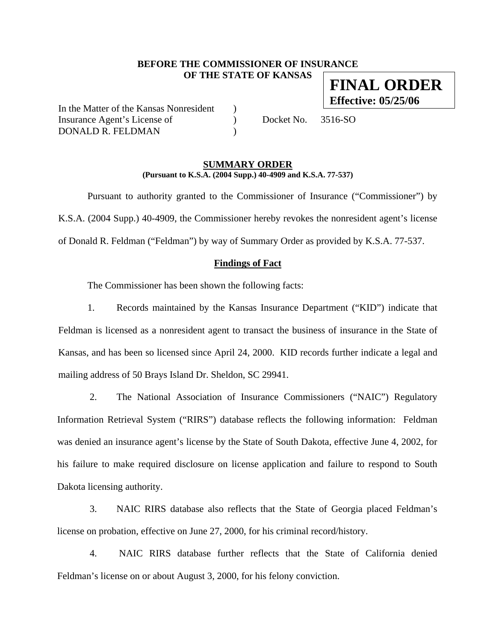## **BEFORE THE COMMISSIONER OF INSURANCE OF THE STATE OF KANSAS**

**FINAL ORDER Effective: 05/25/06**

In the Matter of the Kansas Nonresident ) Insurance Agent's License of  $Docket No. 3516-SO$ DONALD R. FELDMAN )

## **SUMMARY ORDER (Pursuant to K.S.A. (2004 Supp.) 40-4909 and K.S.A. 77-537)**

 Pursuant to authority granted to the Commissioner of Insurance ("Commissioner") by K.S.A. (2004 Supp.) 40-4909, the Commissioner hereby revokes the nonresident agent's license of Donald R. Feldman ("Feldman") by way of Summary Order as provided by K.S.A. 77-537.

# **Findings of Fact**

The Commissioner has been shown the following facts:

1. Records maintained by the Kansas Insurance Department ("KID") indicate that Feldman is licensed as a nonresident agent to transact the business of insurance in the State of Kansas, and has been so licensed since April 24, 2000. KID records further indicate a legal and mailing address of 50 Brays Island Dr. Sheldon, SC 29941.

2. The National Association of Insurance Commissioners ("NAIC") Regulatory Information Retrieval System ("RIRS") database reflects the following information: Feldman was denied an insurance agent's license by the State of South Dakota, effective June 4, 2002, for his failure to make required disclosure on license application and failure to respond to South Dakota licensing authority.

3. NAIC RIRS database also reflects that the State of Georgia placed Feldman's license on probation, effective on June 27, 2000, for his criminal record/history.

4. NAIC RIRS database further reflects that the State of California denied Feldman's license on or about August 3, 2000, for his felony conviction.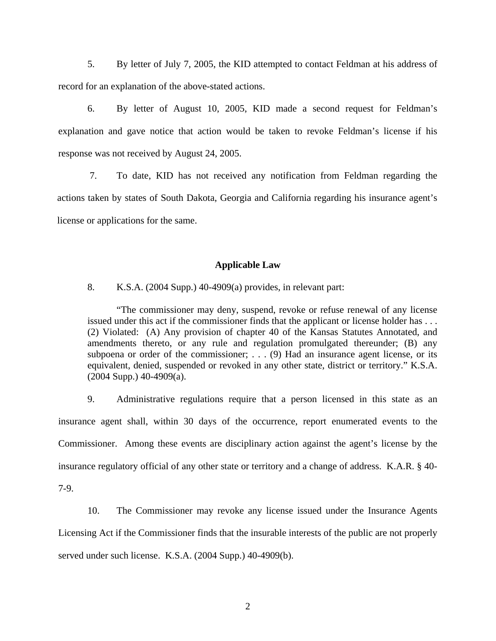5. By letter of July 7, 2005, the KID attempted to contact Feldman at his address of record for an explanation of the above-stated actions.

6. By letter of August 10, 2005, KID made a second request for Feldman's explanation and gave notice that action would be taken to revoke Feldman's license if his response was not received by August 24, 2005.

7. To date, KID has not received any notification from Feldman regarding the actions taken by states of South Dakota, Georgia and California regarding his insurance agent's license or applications for the same.

## **Applicable Law**

8. K.S.A. (2004 Supp.) 40-4909(a) provides, in relevant part:

"The commissioner may deny, suspend, revoke or refuse renewal of any license issued under this act if the commissioner finds that the applicant or license holder has . . . (2) Violated: (A) Any provision of chapter 40 of the Kansas Statutes Annotated, and amendments thereto, or any rule and regulation promulgated thereunder; (B) any subpoena or order of the commissioner; . . . (9) Had an insurance agent license, or its equivalent, denied, suspended or revoked in any other state, district or territory." K.S.A. (2004 Supp.) 40-4909(a).

9. Administrative regulations require that a person licensed in this state as an insurance agent shall, within 30 days of the occurrence, report enumerated events to the Commissioner. Among these events are disciplinary action against the agent's license by the insurance regulatory official of any other state or territory and a change of address. K.A.R. § 40- 7-9.

10. The Commissioner may revoke any license issued under the Insurance Agents Licensing Act if the Commissioner finds that the insurable interests of the public are not properly served under such license. K.S.A. (2004 Supp.) 40-4909(b).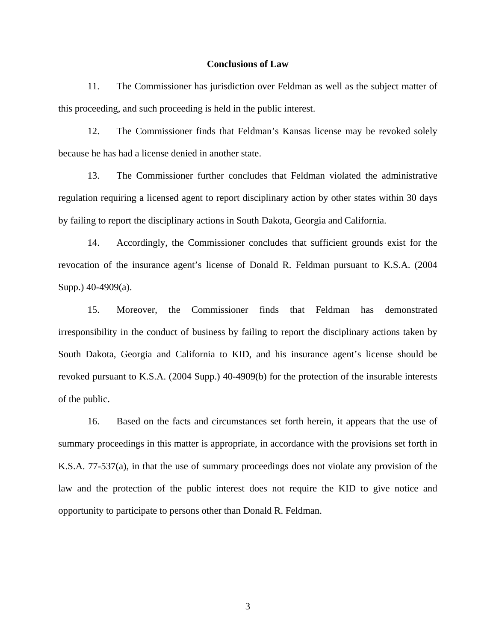#### **Conclusions of Law**

11. The Commissioner has jurisdiction over Feldman as well as the subject matter of this proceeding, and such proceeding is held in the public interest.

12. The Commissioner finds that Feldman's Kansas license may be revoked solely because he has had a license denied in another state.

13. The Commissioner further concludes that Feldman violated the administrative regulation requiring a licensed agent to report disciplinary action by other states within 30 days by failing to report the disciplinary actions in South Dakota, Georgia and California.

14. Accordingly, the Commissioner concludes that sufficient grounds exist for the revocation of the insurance agent's license of Donald R. Feldman pursuant to K.S.A. (2004 Supp.) 40-4909(a).

15. Moreover, the Commissioner finds that Feldman has demonstrated irresponsibility in the conduct of business by failing to report the disciplinary actions taken by South Dakota, Georgia and California to KID, and his insurance agent's license should be revoked pursuant to K.S.A. (2004 Supp.) 40-4909(b) for the protection of the insurable interests of the public.

16. Based on the facts and circumstances set forth herein, it appears that the use of summary proceedings in this matter is appropriate, in accordance with the provisions set forth in K.S.A. 77-537(a), in that the use of summary proceedings does not violate any provision of the law and the protection of the public interest does not require the KID to give notice and opportunity to participate to persons other than Donald R. Feldman.

3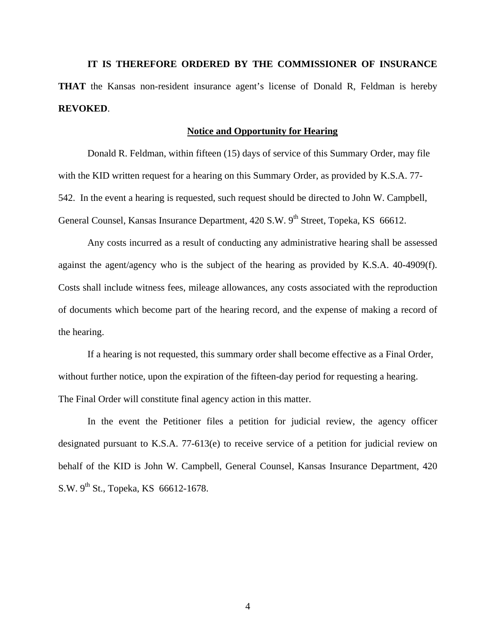**IT IS THEREFORE ORDERED BY THE COMMISSIONER OF INSURANCE THAT** the Kansas non-resident insurance agent's license of Donald R, Feldman is hereby **REVOKED**.

#### **Notice and Opportunity for Hearing**

Donald R. Feldman, within fifteen (15) days of service of this Summary Order, may file with the KID written request for a hearing on this Summary Order, as provided by K.S.A. 77- 542. In the event a hearing is requested, such request should be directed to John W. Campbell, General Counsel, Kansas Insurance Department, 420 S.W. 9<sup>th</sup> Street, Topeka, KS 66612.

 Any costs incurred as a result of conducting any administrative hearing shall be assessed against the agent/agency who is the subject of the hearing as provided by K.S.A. 40-4909(f). Costs shall include witness fees, mileage allowances, any costs associated with the reproduction of documents which become part of the hearing record, and the expense of making a record of the hearing.

If a hearing is not requested, this summary order shall become effective as a Final Order, without further notice, upon the expiration of the fifteen-day period for requesting a hearing. The Final Order will constitute final agency action in this matter.

In the event the Petitioner files a petition for judicial review, the agency officer designated pursuant to K.S.A. 77-613(e) to receive service of a petition for judicial review on behalf of the KID is John W. Campbell, General Counsel, Kansas Insurance Department, 420 S.W.  $9^{th}$  St., Topeka, KS 66612-1678.